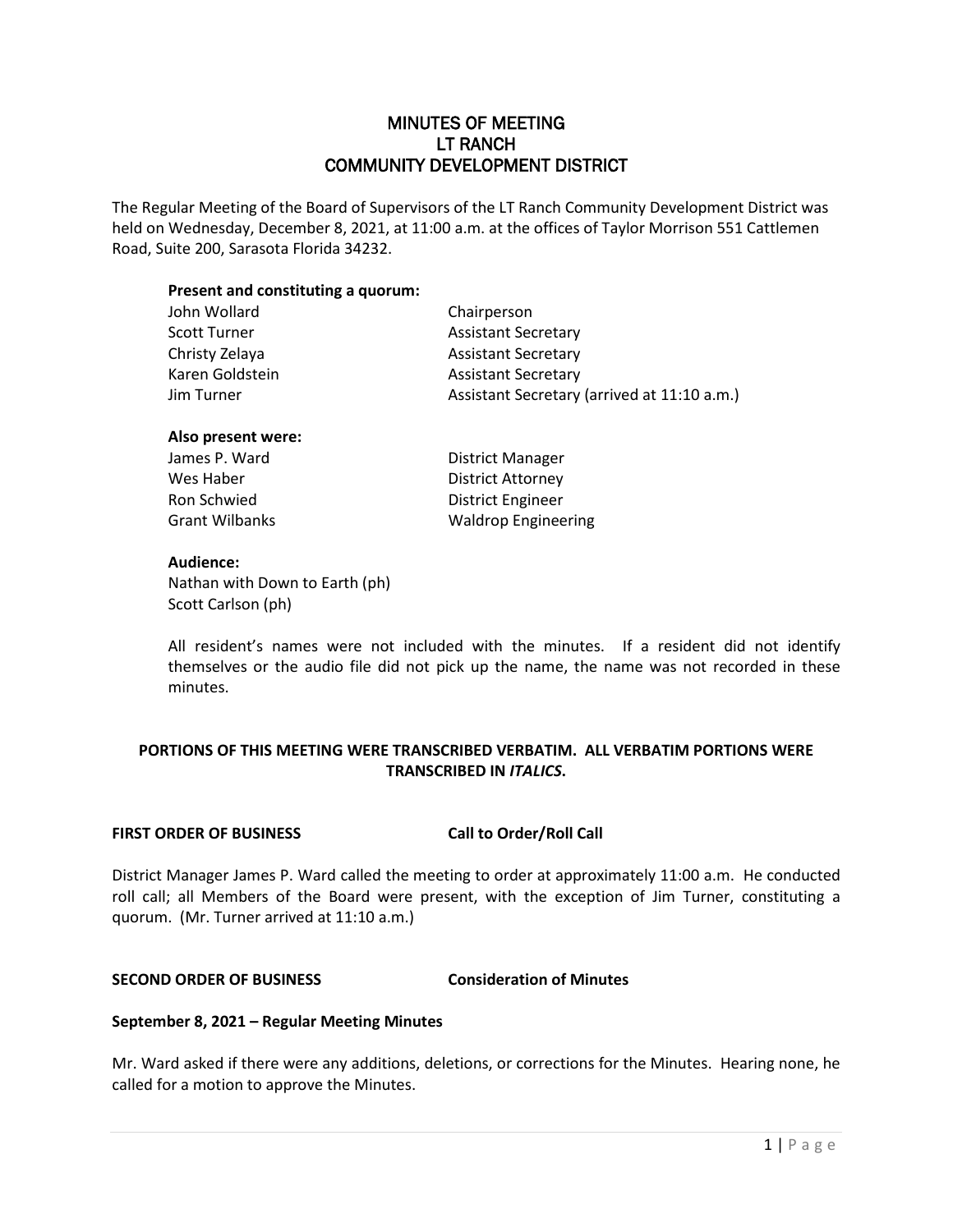# MINUTES OF MEETING LT RANCH COMMUNITY DEVELOPMENT DISTRICT

The Regular Meeting of the Board of Supervisors of the LT Ranch Community Development District was held on Wednesday, December 8, 2021, at 11:00 a.m. at the offices of Taylor Morrison 551 Cattlemen Road, Suite 200, Sarasota Florida 34232.

## **Present and constituting a quorum:**

| John Wollard    | Chairperson                                 |
|-----------------|---------------------------------------------|
| Scott Turner    | <b>Assistant Secretary</b>                  |
| Christy Zelaya  | <b>Assistant Secretary</b>                  |
| Karen Goldstein | <b>Assistant Secretary</b>                  |
| Jim Turner      | Assistant Secretary (arrived at 11:10 a.m.) |
|                 |                                             |

#### **Also present were:**

| James P. Ward  | District Manager           |
|----------------|----------------------------|
| Wes Haber      | District Attorney          |
| Ron Schwied    | District Engineer          |
| Grant Wilbanks | <b>Waldrop Engineering</b> |

#### **Audience:**

Nathan with Down to Earth (ph) Scott Carlson (ph)

All resident's names were not included with the minutes. If a resident did not identify themselves or the audio file did not pick up the name, the name was not recorded in these minutes.

# **PORTIONS OF THIS MEETING WERE TRANSCRIBED VERBATIM. ALL VERBATIM PORTIONS WERE TRANSCRIBED IN** *ITALICS***.**

#### **FIRST ORDER OF BUSINESS Call to Order/Roll Call**

District Manager James P. Ward called the meeting to order at approximately 11:00 a.m. He conducted roll call; all Members of the Board were present, with the exception of Jim Turner, constituting a quorum. (Mr. Turner arrived at 11:10 a.m.)

# **SECOND ORDER OF BUSINESS Consideration of Minutes**

#### **September 8, 2021 – Regular Meeting Minutes**

Mr. Ward asked if there were any additions, deletions, or corrections for the Minutes. Hearing none, he called for a motion to approve the Minutes.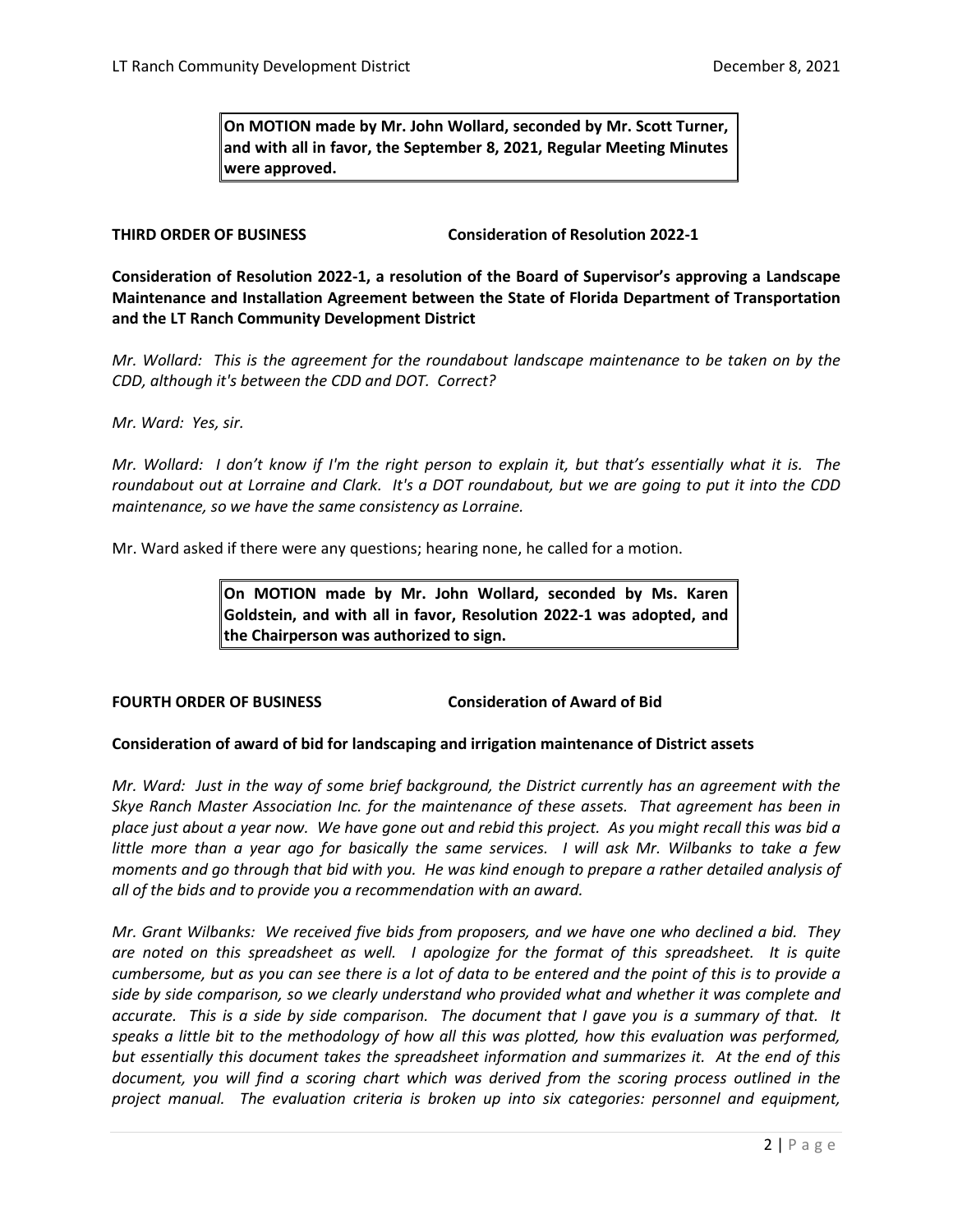**On MOTION made by Mr. John Wollard, seconded by Mr. Scott Turner, and with all in favor, the September 8, 2021, Regular Meeting Minutes were approved.** 

## **THIRD ORDER OF BUSINESS Consideration of Resolution 2022-1**

**Consideration of Resolution 2022-1, a resolution of the Board of Supervisor's approving a Landscape Maintenance and Installation Agreement between the State of Florida Department of Transportation and the LT Ranch Community Development District**

*Mr. Wollard: This is the agreement for the roundabout landscape maintenance to be taken on by the CDD, although it's between the CDD and DOT. Correct?*

*Mr. Ward: Yes, sir.* 

*Mr. Wollard: I don't know if I'm the right person to explain it, but that's essentially what it is. The roundabout out at Lorraine and Clark. It's a DOT roundabout, but we are going to put it into the CDD maintenance, so we have the same consistency as Lorraine.* 

Mr. Ward asked if there were any questions; hearing none, he called for a motion.

**On MOTION made by Mr. John Wollard, seconded by Ms. Karen Goldstein, and with all in favor, Resolution 2022-1 was adopted, and the Chairperson was authorized to sign.** 

#### **FOURTH ORDER OF BUSINESS Consideration of Award of Bid**

#### **Consideration of award of bid for landscaping and irrigation maintenance of District assets**

*Mr. Ward: Just in the way of some brief background, the District currently has an agreement with the Skye Ranch Master Association Inc. for the maintenance of these assets. That agreement has been in place just about a year now. We have gone out and rebid this project. As you might recall this was bid a little more than a year ago for basically the same services. I will ask Mr. Wilbanks to take a few moments and go through that bid with you. He was kind enough to prepare a rather detailed analysis of all of the bids and to provide you a recommendation with an award.*

*Mr. Grant Wilbanks: We received five bids from proposers, and we have one who declined a bid. They are noted on this spreadsheet as well. I apologize for the format of this spreadsheet. It is quite cumbersome, but as you can see there is a lot of data to be entered and the point of this is to provide a side by side comparison, so we clearly understand who provided what and whether it was complete and accurate. This is a side by side comparison. The document that I gave you is a summary of that. It speaks a little bit to the methodology of how all this was plotted, how this evaluation was performed, but essentially this document takes the spreadsheet information and summarizes it. At the end of this document, you will find a scoring chart which was derived from the scoring process outlined in the project manual. The evaluation criteria is broken up into six categories: personnel and equipment,*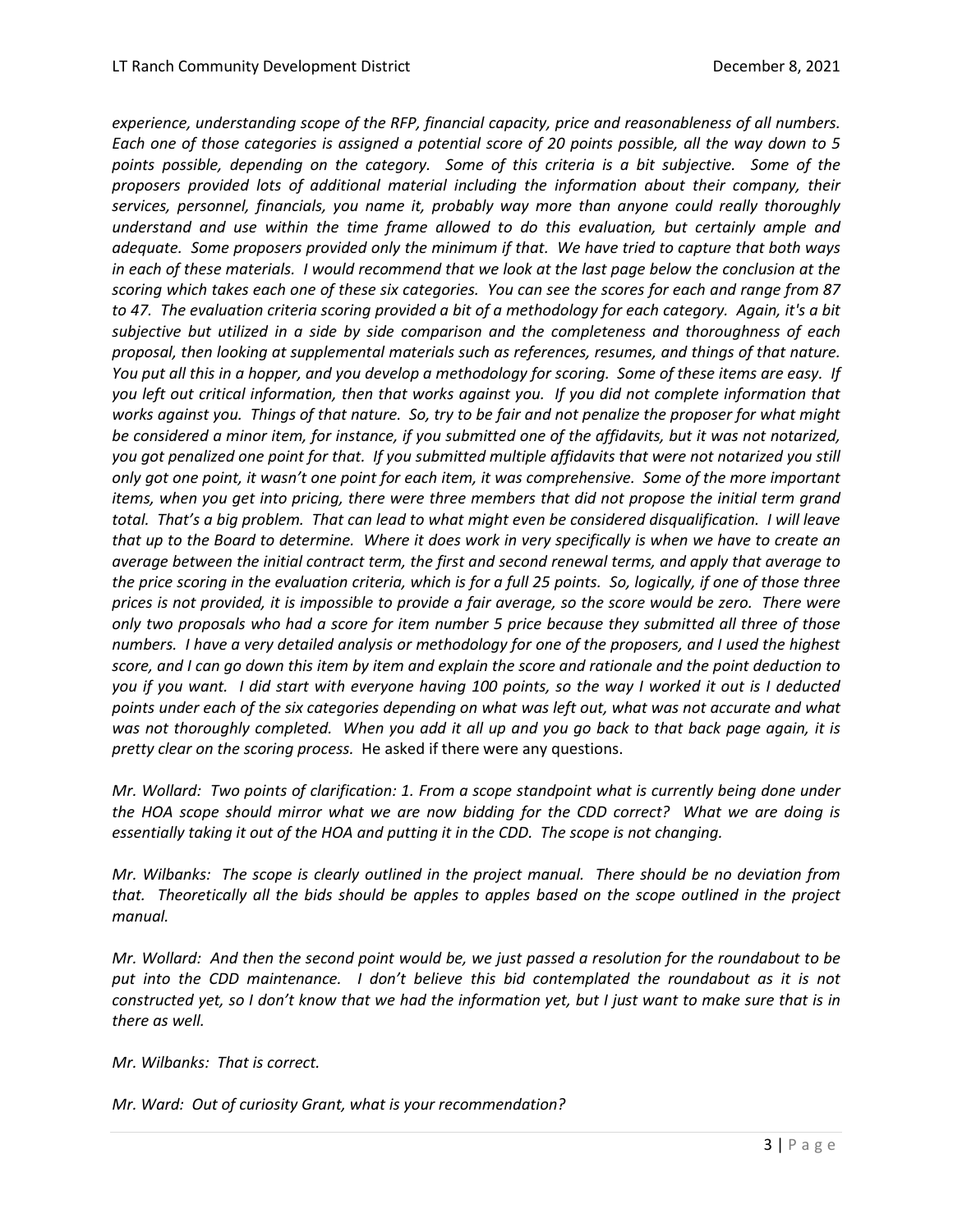*experience, understanding scope of the RFP, financial capacity, price and reasonableness of all numbers. Each one of those categories is assigned a potential score of 20 points possible, all the way down to 5 points possible, depending on the category. Some of this criteria is a bit subjective. Some of the proposers provided lots of additional material including the information about their company, their services, personnel, financials, you name it, probably way more than anyone could really thoroughly understand and use within the time frame allowed to do this evaluation, but certainly ample and adequate. Some proposers provided only the minimum if that. We have tried to capture that both ways in each of these materials. I would recommend that we look at the last page below the conclusion at the scoring which takes each one of these six categories. You can see the scores for each and range from 87 to 47. The evaluation criteria scoring provided a bit of a methodology for each category. Again, it's a bit subjective but utilized in a side by side comparison and the completeness and thoroughness of each proposal, then looking at supplemental materials such as references, resumes, and things of that nature. You put all this in a hopper, and you develop a methodology for scoring. Some of these items are easy. If you left out critical information, then that works against you. If you did not complete information that works against you. Things of that nature. So, try to be fair and not penalize the proposer for what might be considered a minor item, for instance, if you submitted one of the affidavits, but it was not notarized, you got penalized one point for that. If you submitted multiple affidavits that were not notarized you still only got one point, it wasn't one point for each item, it was comprehensive. Some of the more important items, when you get into pricing, there were three members that did not propose the initial term grand total. That's a big problem. That can lead to what might even be considered disqualification. I will leave that up to the Board to determine. Where it does work in very specifically is when we have to create an average between the initial contract term, the first and second renewal terms, and apply that average to the price scoring in the evaluation criteria, which is for a full 25 points. So, logically, if one of those three prices is not provided, it is impossible to provide a fair average, so the score would be zero. There were only two proposals who had a score for item number 5 price because they submitted all three of those numbers. I have a very detailed analysis or methodology for one of the proposers, and I used the highest score, and I can go down this item by item and explain the score and rationale and the point deduction to you if you want. I did start with everyone having 100 points, so the way I worked it out is I deducted points under each of the six categories depending on what was left out, what was not accurate and what was not thoroughly completed. When you add it all up and you go back to that back page again, it is pretty clear on the scoring process.* He asked if there were any questions.

*Mr. Wollard: Two points of clarification: 1. From a scope standpoint what is currently being done under the HOA scope should mirror what we are now bidding for the CDD correct? What we are doing is essentially taking it out of the HOA and putting it in the CDD. The scope is not changing.* 

*Mr. Wilbanks: The scope is clearly outlined in the project manual. There should be no deviation from that. Theoretically all the bids should be apples to apples based on the scope outlined in the project manual.* 

*Mr. Wollard: And then the second point would be, we just passed a resolution for the roundabout to be*  put into the CDD maintenance. I don't believe this bid contemplated the roundabout as it is not *constructed yet, so I don't know that we had the information yet, but I just want to make sure that is in there as well.*

*Mr. Wilbanks: That is correct.*

*Mr. Ward: Out of curiosity Grant, what is your recommendation?*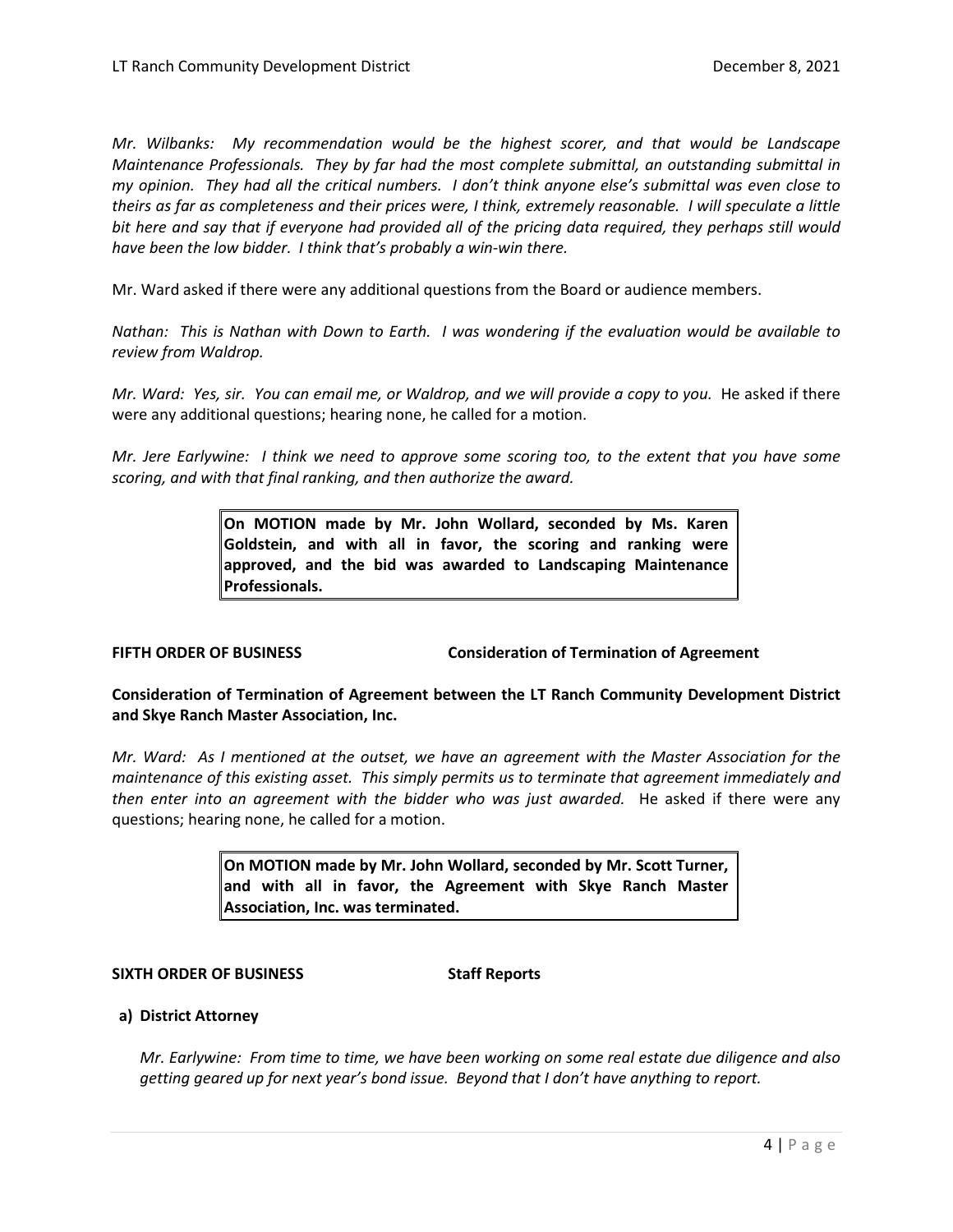*Mr. Wilbanks: My recommendation would be the highest scorer, and that would be Landscape Maintenance Professionals. They by far had the most complete submittal, an outstanding submittal in my opinion. They had all the critical numbers. I don't think anyone else's submittal was even close to theirs as far as completeness and their prices were, I think, extremely reasonable. I will speculate a little bit here and say that if everyone had provided all of the pricing data required, they perhaps still would have been the low bidder. I think that's probably a win-win there.* 

Mr. Ward asked if there were any additional questions from the Board or audience members.

*Nathan: This is Nathan with Down to Earth. I was wondering if the evaluation would be available to review from Waldrop.* 

*Mr. Ward: Yes, sir. You can email me, or Waldrop, and we will provide a copy to you.* He asked if there were any additional questions; hearing none, he called for a motion.

*Mr. Jere Earlywine: I think we need to approve some scoring too, to the extent that you have some scoring, and with that final ranking, and then authorize the award.* 

> **On MOTION made by Mr. John Wollard, seconded by Ms. Karen Goldstein, and with all in favor, the scoring and ranking were approved, and the bid was awarded to Landscaping Maintenance Professionals.**

**FIFTH ORDER OF BUSINESS Consideration of Termination of Agreement**

**Consideration of Termination of Agreement between the LT Ranch Community Development District and Skye Ranch Master Association, Inc.**

*Mr. Ward: As I mentioned at the outset, we have an agreement with the Master Association for the maintenance of this existing asset. This simply permits us to terminate that agreement immediately and then enter into an agreement with the bidder who was just awarded.* He asked if there were any questions; hearing none, he called for a motion.

> **On MOTION made by Mr. John Wollard, seconded by Mr. Scott Turner, and with all in favor, the Agreement with Skye Ranch Master Association, Inc. was terminated.**

#### **SIXTH ORDER OF BUSINESS Staff Reports**

# **a) District Attorney**

*Mr. Earlywine: From time to time, we have been working on some real estate due diligence and also getting geared up for next year's bond issue. Beyond that I don't have anything to report.*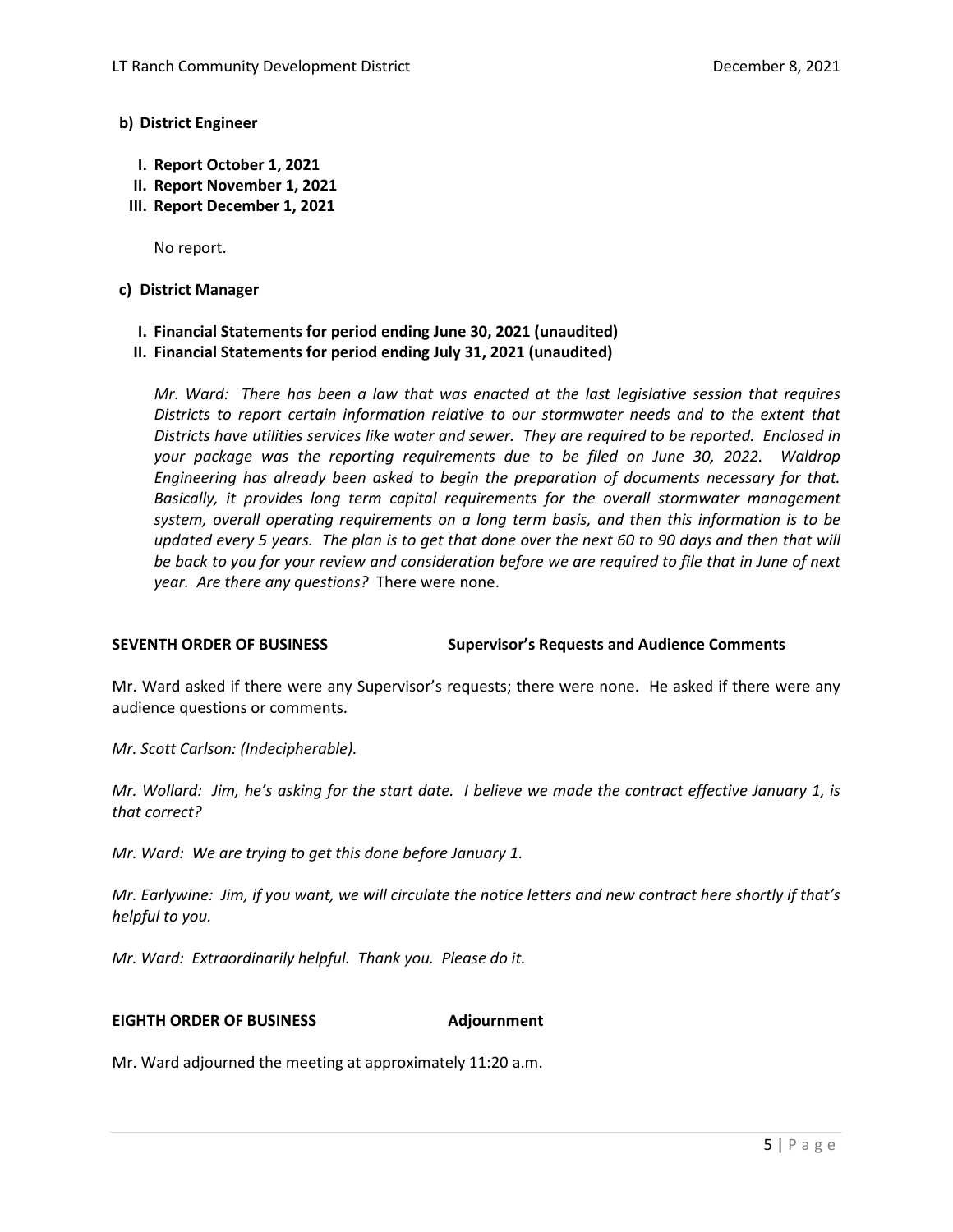### **b) District Engineer**

- **I. Report October 1, 2021**
- **II. Report November 1, 2021**
- **III. Report December 1, 2021**

No report.

### **c) District Manager**

- **I. Financial Statements for period ending June 30, 2021 (unaudited)**
- **II. Financial Statements for period ending July 31, 2021 (unaudited)**

*Mr. Ward: There has been a law that was enacted at the last legislative session that requires Districts to report certain information relative to our stormwater needs and to the extent that Districts have utilities services like water and sewer. They are required to be reported. Enclosed in your package was the reporting requirements due to be filed on June 30, 2022. Waldrop Engineering has already been asked to begin the preparation of documents necessary for that. Basically, it provides long term capital requirements for the overall stormwater management system, overall operating requirements on a long term basis, and then this information is to be updated every 5 years. The plan is to get that done over the next 60 to 90 days and then that will be back to you for your review and consideration before we are required to file that in June of next year. Are there any questions?* There were none.

**SEVENTH ORDER OF BUSINESS Supervisor's Requests and Audience Comments**

Mr. Ward asked if there were any Supervisor's requests; there were none. He asked if there were any audience questions or comments.

*Mr. Scott Carlson: (Indecipherable).* 

*Mr. Wollard: Jim, he's asking for the start date. I believe we made the contract effective January 1, is that correct?*

*Mr. Ward: We are trying to get this done before January 1.*

*Mr. Earlywine: Jim, if you want, we will circulate the notice letters and new contract here shortly if that's helpful to you.*

*Mr. Ward: Extraordinarily helpful. Thank you. Please do it.* 

#### **EIGHTH ORDER OF BUSINESS Adjournment**

Mr. Ward adjourned the meeting at approximately 11:20 a.m.